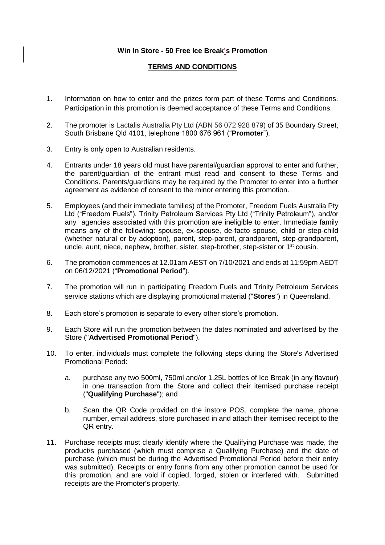## **Win In Store - 50 Free Ice Break's Promotion**

## **TERMS AND CONDITIONS**

- 1. Information on how to enter and the prizes form part of these Terms and Conditions. Participation in this promotion is deemed acceptance of these Terms and Conditions.
- 2. The promoter is Lactalis Australia Pty Ltd (ABN 56 072 928 879) of 35 Boundary Street, South Brisbane Qld 4101, telephone 1800 676 961 ("**Promoter**").
- 3. Entry is only open to Australian residents.
- 4. Entrants under 18 years old must have parental/guardian approval to enter and further, the parent/guardian of the entrant must read and consent to these Terms and Conditions. Parents/guardians may be required by the Promoter to enter into a further agreement as evidence of consent to the minor entering this promotion.
- 5. Employees (and their immediate families) of the Promoter, Freedom Fuels Australia Pty Ltd ("Freedom Fuels"), Trinity Petroleum Services Pty Ltd ("Trinity Petroleum"), and/or any agencies associated with this promotion are ineligible to enter. Immediate family means any of the following: spouse, ex-spouse, de-facto spouse, child or step-child (whether natural or by adoption), parent, step-parent, grandparent, step-grandparent, uncle, aunt, niece, nephew, brother, sister, step-brother, step-sister or 1st cousin.
- 6. The promotion commences at 12.01am AEST on 7/10/2021 and ends at 11:59pm AEDT on 06/12/2021 ("**Promotional Period**").
- 7. The promotion will run in participating Freedom Fuels and Trinity Petroleum Services service stations which are displaying promotional material ("**Stores**") in Queensland.
- 8. Each store's promotion is separate to every other store's promotion.
- 9. Each Store will run the promotion between the dates nominated and advertised by the Store ("**Advertised Promotional Period**").
- 10. To enter, individuals must complete the following steps during the Store's Advertised Promotional Period:
	- a. purchase any two 500ml, 750ml and/or 1.25L bottles of Ice Break (in any flavour) in one transaction from the Store and collect their itemised purchase receipt ("**Qualifying Purchase**"); and
	- b. Scan the QR Code provided on the instore POS, complete the name, phone number, email address, store purchased in and attach their itemised receipt to the QR entry.
- 11. Purchase receipts must clearly identify where the Qualifying Purchase was made, the product/s purchased (which must comprise a Qualifying Purchase) and the date of purchase (which must be during the Advertised Promotional Period before their entry was submitted). Receipts or entry forms from any other promotion cannot be used for this promotion, and are void if copied, forged, stolen or interfered with. Submitted receipts are the Promoter's property.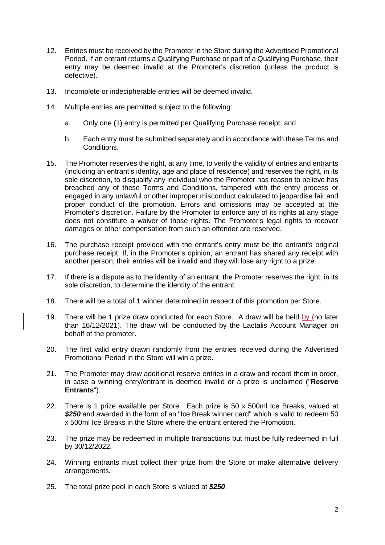- 12. Entries must be received by the Promoter in the Store during the Advertised Promotional Period. If an entrant returns a Qualifying Purchase or part of a Qualifying Purchase, their entry may be deemed invalid at the Promoter's discretion (unless the product is defective).
- 13. Incomplete or indecipherable entries will be deemed invalid.
- 14. Multiple entries are permitted subject to the following:
	- a. Only one (1) entry is permitted per Qualifying Purchase receipt; and
	- b. Each entry must be submitted separately and in accordance with these Terms and Conditions.
- 15. The Promoter reserves the right, at any time, to verify the validity of entries and entrants (including an entrant's identity, age and place of residence) and reserves the right, in its sole discretion, to disqualify any individual who the Promoter has reason to believe has breached any of these Terms and Conditions, tampered with the entry process or engaged in any unlawful or other improper misconduct calculated to jeopardise fair and proper conduct of the promotion. Errors and omissions may be accepted at the Promoter's discretion. Failure by the Promoter to enforce any of its rights at any stage does not constitute a waiver of those rights. The Promoter's legal rights to recover damages or other compensation from such an offender are reserved.
- 16. The purchase receipt provided with the entrant's entry must be the entrant's original purchase receipt. If, in the Promoter's opinion, an entrant has shared any receipt with another person, their entries will be invalid and they will lose any right to a prize.
- 17. If there is a dispute as to the identity of an entrant, the Promoter reserves the right, in its sole discretion, to determine the identity of the entrant.
- 18. There will be a total of 1 winner determined in respect of this promotion per Store.
- 19. There will be 1 prize draw conducted for each Store. A draw will be held by (no later than 16/12/2021). The draw will be conducted by the Lactalis Account Manager on behalf of the promoter.
- 20. The first valid entry drawn randomly from the entries received during the Advertised Promotional Period in the Store will win a prize.
- 21. The Promoter may draw additional reserve entries in a draw and record them in order, in case a winning entry/entrant is deemed invalid or a prize is unclaimed ("**Reserve Entrants**").
- 22. There is 1 prize available per Store. Each prize is 50 x 500ml Ice Breaks, valued at *\$250* and awarded in the form of an "Ice Break winner card" which is valid to redeem 50 x 500ml Ice Breaks in the Store where the entrant entered the Promotion.
- 23. The prize may be redeemed in multiple transactions but must be fully redeemed in full by 30/12/2022.
- 24. Winning entrants must collect their prize from the Store or make alternative delivery arrangements.
- 25. The total prize pool in each Store is valued at *\$250*.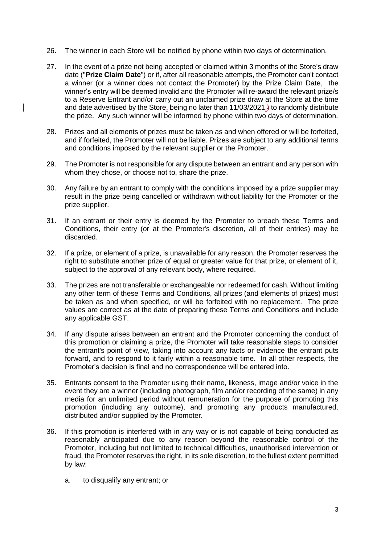- 26. The winner in each Store will be notified by phone within two days of determination.
- 27. In the event of a prize not being accepted or claimed within 3 months of the Store's draw date ("**Prize Claim Date**") or if, after all reasonable attempts, the Promoter can't contact a winner (or a winner does not contact the Promoter) by the Prize Claim Date, the winner's entry will be deemed invalid and the Promoter will re-award the relevant prize/s to a Reserve Entrant and/or carry out an unclaimed prize draw at the Store at the time and date advertised by the Store, being no later than  $11/03/2021$ , to randomly distribute the prize. Any such winner will be informed by phone within two days of determination.
- 28. Prizes and all elements of prizes must be taken as and when offered or will be forfeited, and if forfeited, the Promoter will not be liable. Prizes are subject to any additional terms and conditions imposed by the relevant supplier or the Promoter.
- 29. The Promoter is not responsible for any dispute between an entrant and any person with whom they chose, or choose not to, share the prize.
- 30. Any failure by an entrant to comply with the conditions imposed by a prize supplier may result in the prize being cancelled or withdrawn without liability for the Promoter or the prize supplier.
- 31. If an entrant or their entry is deemed by the Promoter to breach these Terms and Conditions, their entry (or at the Promoter's discretion, all of their entries) may be discarded.
- 32. If a prize, or element of a prize, is unavailable for any reason, the Promoter reserves the right to substitute another prize of equal or greater value for that prize, or element of it, subject to the approval of any relevant body, where required.
- 33. The prizes are not transferable or exchangeable nor redeemed for cash. Without limiting any other term of these Terms and Conditions, all prizes (and elements of prizes) must be taken as and when specified, or will be forfeited with no replacement. The prize values are correct as at the date of preparing these Terms and Conditions and include any applicable GST.
- 34. If any dispute arises between an entrant and the Promoter concerning the conduct of this promotion or claiming a prize, the Promoter will take reasonable steps to consider the entrant's point of view, taking into account any facts or evidence the entrant puts forward, and to respond to it fairly within a reasonable time. In all other respects, the Promoter's decision is final and no correspondence will be entered into.
- 35. Entrants consent to the Promoter using their name, likeness, image and/or voice in the event they are a winner (including photograph, film and/or recording of the same) in any media for an unlimited period without remuneration for the purpose of promoting this promotion (including any outcome), and promoting any products manufactured, distributed and/or supplied by the Promoter.
- 36. If this promotion is interfered with in any way or is not capable of being conducted as reasonably anticipated due to any reason beyond the reasonable control of the Promoter, including but not limited to technical difficulties, unauthorised intervention or fraud, the Promoter reserves the right, in its sole discretion, to the fullest extent permitted by law:
	- a. to disqualify any entrant; or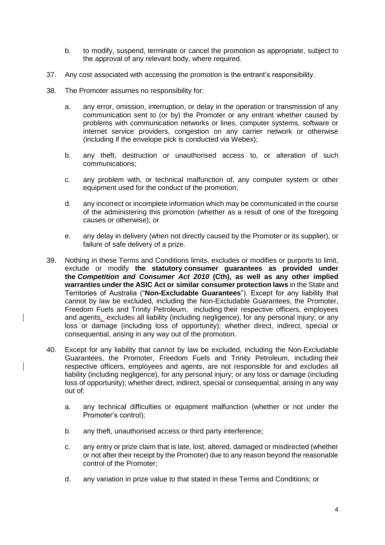- b. to modify, suspend, terminate or cancel the promotion as appropriate, subject to the approval of any relevant body, where required.
- 37. Any cost associated with accessing the promotion is the entrant's responsibility.
- 38. The Promoter assumes no responsibility for:
	- a. any error, omission, interruption, or delay in the operation or transmission of any communication sent to (or by) the Promoter or any entrant whether caused by problems with communication networks or lines, computer systems, software or internet service providers, congestion on any carrier network or otherwise (including if the envelope pick is conducted via Webex);
	- b. any theft, destruction or unauthorised access to, or alteration of such communications;
	- c. any problem with, or technical malfunction of, any computer system or other equipment used for the conduct of the promotion;
	- d. any incorrect or incomplete information which may be communicated in the course of the administering this promotion (whether as a result of one of the foregoing causes or otherwise); or
	- e. any delay in delivery (when not directly caused by the Promoter or its supplier), or failure of safe delivery of a prize.
- 39. Nothing in these Terms and Conditions limits, excludes or modifies or purports to limit, exclude or modify **the statutory consumer guarantees as provided under the** *Competition and Consumer Act 2010* **(Cth), as well as any other implied warranties under the ASIC Act or similar consumer protection laws** in the State and Territories of Australia ("**Non-Excludable Guarantees**"). Except for any liability that cannot by law be excluded, including the Non-Excludable Guarantees, the Promoter, Freedom Fuels and Trinity Petroleum, including their respective officers, employees and agents, excludes all liability (including negligence), for any personal injury; or any loss or damage (including loss of opportunity); whether direct, indirect, special or consequential, arising in any way out of the promotion.
- 40. Except for any liability that cannot by law be excluded, including the Non-Excludable Guarantees, the Promoter, Freedom Fuels and Trinity Petroleum, including their respective officers, employees and agents, are not responsible for and excludes all liability (including negligence), for any personal injury; or any loss or damage (including loss of opportunity); whether direct, indirect, special or consequential, arising in any way out of:
	- a. any technical difficulties or equipment malfunction (whether or not under the Promoter's control);
	- b. any theft, unauthorised access or third party interference;
	- c. any entry or prize claim that is late, lost, altered, damaged or misdirected (whether or not after their receipt by the Promoter) due to any reason beyond the reasonable control of the Promoter;
	- d. any variation in prize value to that stated in these Terms and Conditions; or